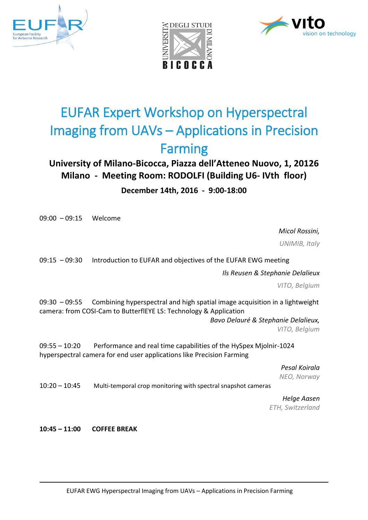





# EUFAR Expert Workshop on Hyperspectral Imaging from UAVs – Applications in Precision Farming

## **University of Milano-Bicocca, Piazza dell'Atteneo Nuovo, 1, 20126 Milano - Meeting Room: RODOLFI (Building U6- IVth floor)**

## **December 14th, 2016 - 9:00-18:00**

09:00 – 09:15 Welcome

*Micol Rossini,*

*UNIMIB, Italy*

09:15 – 09:30 Introduction to EUFAR and objectives of the EUFAR EWG meeting

*Ils Reusen & Stephanie Delalieux*

*VITO, Belgium*

09:30 – 09:55 Combining hyperspectral and high spatial image acquisition in a lightweight camera: from COSI-Cam to ButterflEYE LS: Technology & Application

*Bavo Delauré & Stephanie Delalieux, VITO, Belgium*

09:55 – 10:20 Performance and real time capabilities of the HySpex Mjolnir-1024 hyperspectral camera for end user applications like Precision Farming

> *Pesal Koirala NEO, Norway*

10:20 – 10:45 Multi-temporal crop monitoring with spectral snapshot cameras

*Helge Aasen ETH, Switzerland*

**10:45 – 11:00 COFFEE BREAK**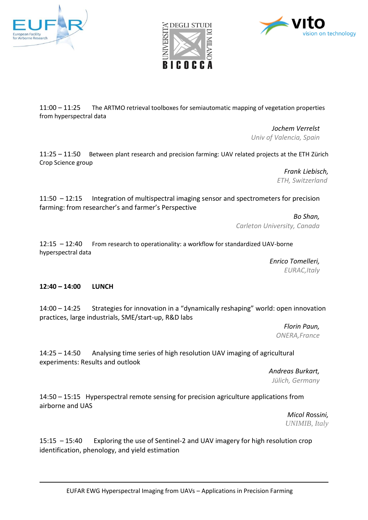





11:00 – 11:25 The ARTMO retrieval toolboxes for semiautomatic mapping of vegetation properties from hyperspectral data

> *Jochem Verrelst Univ of Valencia, Spain*

11:25 – 11:50 Between plant research and precision farming: UAV related projects at the ETH Zürich Crop Science group

> *Frank Liebisch, ETH, Switzerland*

11:50 – 12:15 Integration of multispectral imaging sensor and spectrometers for precision farming: from researcher's and farmer's Perspective

> *Bo Shan, Carleton University, Canada*

12:15 – 12:40 From research to operationality: a workflow for standardized UAV-borne hyperspectral data

> *Enrico Tomelleri, EURAC,Italy*

### **12:40 – 14:00 LUNCH**

14:00 – 14:25 Strategies for innovation in a "dynamically reshaping" world: open innovation practices, large industrials, SME/start-up, R&D labs

> *Florin Paun, ONERA,France*

14:25 – 14:50 Analysing time series of high resolution UAV imaging of agricultural experiments: Results and outlook

> *Andreas Burkart, Jülich, Germany*

14:50 – 15:15 Hyperspectral remote sensing for precision agriculture applications from airborne and UAS

> *Micol R*oss*ini, UNIMIB, Italy*

15:15 – 15:40 Exploring the use of Sentinel-2 and UAV imagery for high resolution crop identification, phenology, and yield estimation